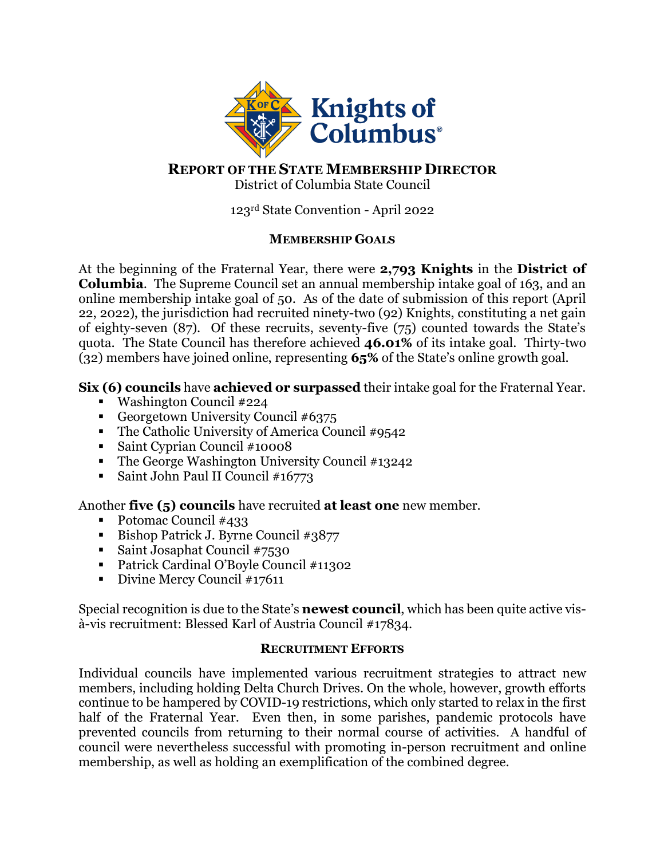

# **REPORT OF THE STATE MEMBERSHIP DIRECTOR**

District of Columbia State Council

### 123rd State Convention - April 2022

## **MEMBERSHIP GOALS**

At the beginning of the Fraternal Year, there were **2,793 Knights** in the **District of Columbia**. The Supreme Council set an annual membership intake goal of 163, and an online membership intake goal of 50. As of the date of submission of this report (April 22, 2022), the jurisdiction had recruited ninety-two (92) Knights, constituting a net gain of eighty-seven (87). Of these recruits, seventy-five (75) counted towards the State's quota. The State Council has therefore achieved **46.01%** of its intake goal. Thirty-two (32) members have joined online, representing **65%** of the State's online growth goal.

### **Six (6) councils** have **achieved or surpassed** their intake goal for the Fraternal Year.

- Washington Council #224
- Georgetown University Council #6375
- The Catholic University of America Council #9542
- Saint Cyprian Council #10008
- The George Washington University Council #13242
- Saint John Paul II Council #16773

Another **five (5) councils** have recruited **at least one** new member.

- Potomac Council #433
- Bishop Patrick J. Byrne Council #3877
- Saint Josaphat Council #7530
- Patrick Cardinal O'Boyle Council #11302
- Divine Mercy Council #17611

Special recognition is due to the State's **newest council**, which has been quite active visà-vis recruitment: Blessed Karl of Austria Council #17834.

#### **RECRUITMENT EFFORTS**

Individual councils have implemented various recruitment strategies to attract new members, including holding Delta Church Drives. On the whole, however, growth efforts continue to be hampered by COVID-19 restrictions, which only started to relax in the first half of the Fraternal Year. Even then, in some parishes, pandemic protocols have prevented councils from returning to their normal course of activities. A handful of council were nevertheless successful with promoting in-person recruitment and online membership, as well as holding an exemplification of the combined degree.